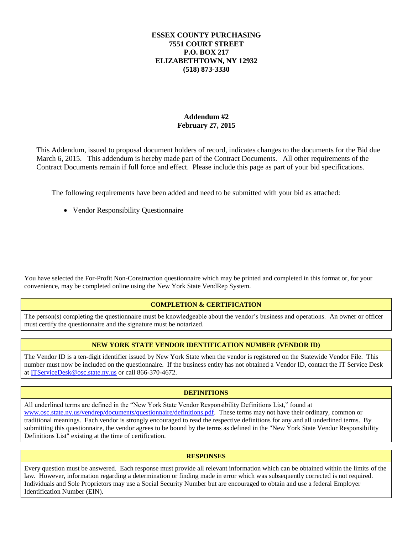### **ESSEX COUNTY PURCHASING 7551 COURT STREET P.O. BOX 217 ELIZABETHTOWN, NY 12932 (518) 873-3330**

### **Addendum #2 February 27, 2015**

This Addendum, issued to proposal document holders of record, indicates changes to the documents for the Bid due March 6, 2015. This addendum is hereby made part of the Contract Documents. All other requirements of the Contract Documents remain if full force and effect. Please include this page as part of your bid specifications.

The following requirements have been added and need to be submitted with your bid as attached:

Vendor Responsibility Questionnaire

You have selected the For-Profit Non-Construction questionnaire which may be printed and completed in this format or, for your convenience, may be completed online using the [New York State VendRep System.](http://www.osc.state.ny.us/vendrep/)

### **COMPLETION & CERTIFICATION**

The person(s) completing the questionnaire must be knowledgeable about the vendor's business and operations. An owner or officer must certify the questionnaire and the signature must be notarized.

### **NEW YORK STATE VENDOR IDENTIFICATION NUMBER (VENDOR ID)**

The Vendor ID is a ten-digit identifier issued by New York State when the vendor is registered on the Statewide Vendor File. This number must now be included on the questionnaire. If the business entity has not obtained a Vendor ID, contact the IT Service Desk a[t ITServiceDesk@osc.state.ny.us](mailto:ITServiceDesk@osc.state.ny.us) or call 866-370-4672.

### **DEFINITIONS**

All underlined terms are defined in the "New York State Vendor Responsibility Definitions List," found at [www.osc.state.ny.us/vendrep/documents/questionnaire/definitions.pdf.](http://www.osc.state.ny.us/vendrep/documents/questionnaire/definitions.pdf) These terms may not have their ordinary, common or traditional meanings. Each vendor is strongly encouraged to read the respective definitions for any and all underlined terms. By submitting this questionnaire, the vendor agrees to be bound by the terms as defined in the "New York State Vendor Responsibility Definitions List" existing at the time of certification.

#### **RESPONSES**

Every question must be answered. Each response must provide all relevant information which can be obtained within the limits of the law. However, information regarding a determination or finding made in error which was subsequently corrected is not required. Individuals and Sole Proprietors may use a Social Security Number but are encouraged to obtain and use a federal Employer Identification Number (EIN).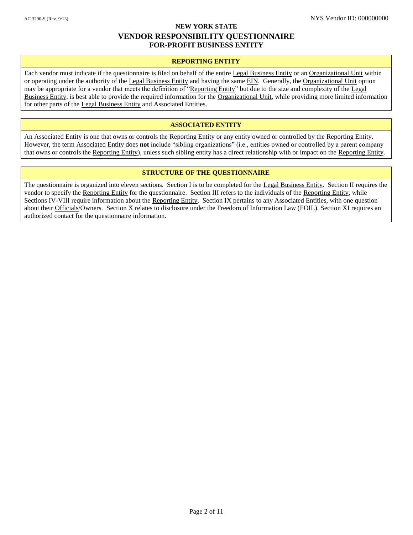#### **NEW YORK STATE**

## **VENDOR RESPONSIBILITY QUESTIONNAIRE FOR-PROFIT BUSINESS ENTITY**

#### **REPORTING ENTITY**

Each vendor must indicate if the questionnaire is filed on behalf of the entire Legal Business Entity or an Organizational Unit within or operating under the authority of the Legal Business Entity and having the same EIN. Generally, the Organizational Unit option may be appropriate for a vendor that meets the definition of "Reporting Entity" but due to the size and complexity of the Legal Business Entity, is best able to provide the required information for the Organizational Unit, while providing more limited information for other parts of the Legal Business Entity and Associated Entities.

#### **ASSOCIATED ENTITY**

An Associated Entity is one that owns or controls the Reporting Entity or any entity owned or controlled by the Reporting Entity. However, the term Associated Entity does **not** include "sibling organizations" (i.e., entities owned or controlled by a parent company that owns or controls the Reporting Entity), unless such sibling entity has a direct relationship with or impact on the Reporting Entity.

#### **STRUCTURE OF THE QUESTIONNAIRE**

The questionnaire is organized into eleven sections. Section I is to be completed for the Legal Business Entity. Section II requires the vendor to specify the Reporting Entity for the questionnaire. Section III refers to the individuals of the Reporting Entity, while Sections IV-VIII require information about the Reporting Entity. Section IX pertains to any Associated Entities, with one question about their Officials/Owners. Section X relates to disclosure under the Freedom of Information Law (FOIL). Section XI requires an authorized contact for the questionnaire information.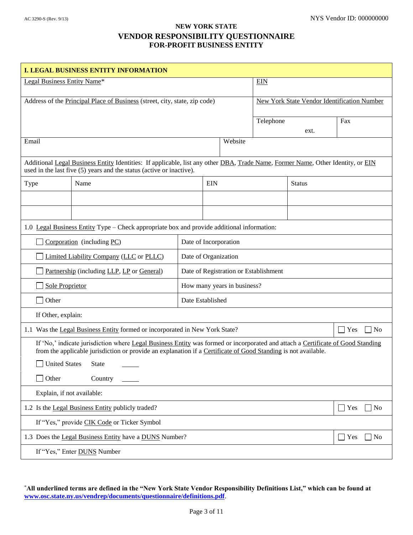| <b>I. LEGAL BUSINESS ENTITY INFORMATION</b>                                                                                                                                                                                                       |                                                                                                                                                                                                         |            |                                                    |         |           |               |                              |
|---------------------------------------------------------------------------------------------------------------------------------------------------------------------------------------------------------------------------------------------------|---------------------------------------------------------------------------------------------------------------------------------------------------------------------------------------------------------|------------|----------------------------------------------------|---------|-----------|---------------|------------------------------|
| Legal Business Entity Name*                                                                                                                                                                                                                       |                                                                                                                                                                                                         | <b>EIN</b> |                                                    |         |           |               |                              |
| Address of the Principal Place of Business (street, city, state, zip code)                                                                                                                                                                        |                                                                                                                                                                                                         |            | <b>New York State Vendor Identification Number</b> |         |           |               |                              |
|                                                                                                                                                                                                                                                   |                                                                                                                                                                                                         |            |                                                    |         | Telephone |               | Fax                          |
|                                                                                                                                                                                                                                                   |                                                                                                                                                                                                         |            |                                                    |         |           | ext.          |                              |
| Email                                                                                                                                                                                                                                             |                                                                                                                                                                                                         |            |                                                    | Website |           |               |                              |
|                                                                                                                                                                                                                                                   | Additional Legal Business Entity Identities: If applicable, list any other DBA, Trade Name, Former Name, Other Identity, or EIN<br>used in the last five (5) years and the status (active or inactive). |            |                                                    |         |           |               |                              |
| Type                                                                                                                                                                                                                                              | Name                                                                                                                                                                                                    |            | <b>EIN</b>                                         |         |           | <b>Status</b> |                              |
|                                                                                                                                                                                                                                                   |                                                                                                                                                                                                         |            |                                                    |         |           |               |                              |
|                                                                                                                                                                                                                                                   |                                                                                                                                                                                                         |            |                                                    |         |           |               |                              |
|                                                                                                                                                                                                                                                   | 1.0 Legal Business Entity Type – Check appropriate box and provide additional information:                                                                                                              |            |                                                    |         |           |               |                              |
| Corporation (including PC)<br>Date of Incorporation                                                                                                                                                                                               |                                                                                                                                                                                                         |            |                                                    |         |           |               |                              |
| Limited Liability Company (LLC or PLLC)<br>Date of Organization                                                                                                                                                                                   |                                                                                                                                                                                                         |            |                                                    |         |           |               |                              |
| Partnership (including LLP, LP or General)<br>Date of Registration or Establishment                                                                                                                                                               |                                                                                                                                                                                                         |            |                                                    |         |           |               |                              |
| <b>Sole Proprietor</b><br>How many years in business?                                                                                                                                                                                             |                                                                                                                                                                                                         |            |                                                    |         |           |               |                              |
| Other<br>Date Established                                                                                                                                                                                                                         |                                                                                                                                                                                                         |            |                                                    |         |           |               |                              |
| If Other, explain:                                                                                                                                                                                                                                |                                                                                                                                                                                                         |            |                                                    |         |           |               |                              |
| 1.1 Was the Legal Business Entity formed or incorporated in New York State?<br>Yes                                                                                                                                                                |                                                                                                                                                                                                         |            | N <sub>o</sub>                                     |         |           |               |                              |
| If 'No,' indicate jurisdiction where Legal Business Entity was formed or incorporated and attach a Certificate of Good Standing<br>from the applicable jurisdiction or provide an explanation if a Certificate of Good Standing is not available. |                                                                                                                                                                                                         |            |                                                    |         |           |               |                              |
| United States State                                                                                                                                                                                                                               |                                                                                                                                                                                                         |            |                                                    |         |           |               |                              |
| $\Box$ Other                                                                                                                                                                                                                                      | Country                                                                                                                                                                                                 |            |                                                    |         |           |               |                              |
| Explain, if not available:                                                                                                                                                                                                                        |                                                                                                                                                                                                         |            |                                                    |         |           |               |                              |
|                                                                                                                                                                                                                                                   | 1.2 Is the Legal Business Entity publicly traded?                                                                                                                                                       |            |                                                    |         |           |               | $\blacksquare$ Yes<br>$ $ No |
| If "Yes," provide CIK Code or Ticker Symbol                                                                                                                                                                                                       |                                                                                                                                                                                                         |            |                                                    |         |           |               |                              |
| 1.3 Does the Legal Business Entity have a DUNS Number?<br>Yes                                                                                                                                                                                     |                                                                                                                                                                                                         |            | N <sub>o</sub>                                     |         |           |               |                              |
| If "Yes," Enter <b>DUNS</b> Number                                                                                                                                                                                                                |                                                                                                                                                                                                         |            |                                                    |         |           |               |                              |

<sup>\*</sup>**All underlined terms are defined in the "New York State Vendor Responsibility Definitions List," which can be found at [www.osc.state.ny.us/vendrep/documents/questionnaire/definitions.pdf](http://www.osc.state.ny.us/vendrep/documents/questionnaire/definitions.pdf)**.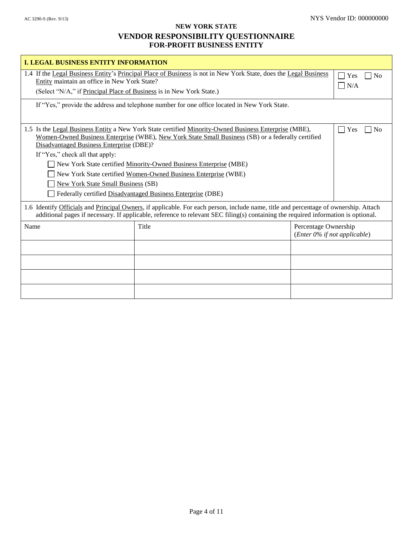| <b>I. LEGAL BUSINESS ENTITY INFORMATION</b>                                                                                                                                                                                                                                |                                                                                                                                                                                                                                                                                                                                                                                                                   |                                                              |                                            |
|----------------------------------------------------------------------------------------------------------------------------------------------------------------------------------------------------------------------------------------------------------------------------|-------------------------------------------------------------------------------------------------------------------------------------------------------------------------------------------------------------------------------------------------------------------------------------------------------------------------------------------------------------------------------------------------------------------|--------------------------------------------------------------|--------------------------------------------|
| 1.4 If the Legal Business Entity's Principal Place of Business is not in New York State, does the Legal Business<br>Entity maintain an office in New York State?<br>(Select "N/A," if Principal Place of Business is in New York State.)                                   |                                                                                                                                                                                                                                                                                                                                                                                                                   |                                                              | $\Box$ Yes<br>$\overline{N}$<br>$\Box$ N/A |
|                                                                                                                                                                                                                                                                            | If "Yes," provide the address and telephone number for one office located in New York State.                                                                                                                                                                                                                                                                                                                      |                                                              |                                            |
| Disadvantaged Business Enterprise (DBE)?<br>If "Yes," check all that apply:<br><b>New York State Small Business (SB)</b>                                                                                                                                                   | 1.5 Is the Legal Business Entity a New York State certified Minority-Owned Business Enterprise (MBE),<br>Women-Owned Business Enterprise (WBE), New York State Small Business (SB) or a federally certified<br>New York State certified Minority-Owned Business Enterprise (MBE)<br>New York State certified Women-Owned Business Enterprise (WBE)<br>Federally certified Disadvantaged Business Enterprise (DBE) |                                                              | Yes<br>N <sub>0</sub><br>$\mathsf{L}$      |
| 1.6 Identify Officials and Principal Owners, if applicable. For each person, include name, title and percentage of ownership. Attach<br>additional pages if necessary. If applicable, reference to relevant SEC filing(s) containing the required information is optional. |                                                                                                                                                                                                                                                                                                                                                                                                                   |                                                              |                                            |
| Name                                                                                                                                                                                                                                                                       | Title                                                                                                                                                                                                                                                                                                                                                                                                             | Percentage Ownership<br>( <i>Enter 0%</i> if not applicable) |                                            |
|                                                                                                                                                                                                                                                                            |                                                                                                                                                                                                                                                                                                                                                                                                                   |                                                              |                                            |
|                                                                                                                                                                                                                                                                            |                                                                                                                                                                                                                                                                                                                                                                                                                   |                                                              |                                            |
|                                                                                                                                                                                                                                                                            |                                                                                                                                                                                                                                                                                                                                                                                                                   |                                                              |                                            |
|                                                                                                                                                                                                                                                                            |                                                                                                                                                                                                                                                                                                                                                                                                                   |                                                              |                                            |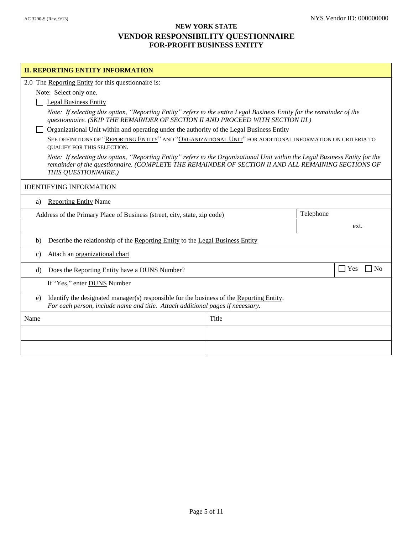| <b>II. REPORTING ENTITY INFORMATION</b>                                                                                                                                          |                                                                                                                                                                                                                                      |  |                       |  |
|----------------------------------------------------------------------------------------------------------------------------------------------------------------------------------|--------------------------------------------------------------------------------------------------------------------------------------------------------------------------------------------------------------------------------------|--|-----------------------|--|
| 2.0 The Reporting Entity for this questionnaire is:                                                                                                                              |                                                                                                                                                                                                                                      |  |                       |  |
| Note: Select only one.                                                                                                                                                           |                                                                                                                                                                                                                                      |  |                       |  |
| <b>Legal Business Entity</b>                                                                                                                                                     |                                                                                                                                                                                                                                      |  |                       |  |
|                                                                                                                                                                                  | Note: If selecting this option, "Reporting Entity" refers to the entire Legal Business Entity for the remainder of the<br>questionnaire. (SKIP THE REMAINDER OF SECTION II AND PROCEED WITH SECTION III.)                            |  |                       |  |
| Organizational Unit within and operating under the authority of the Legal Business Entity                                                                                        |                                                                                                                                                                                                                                      |  |                       |  |
| QUALIFY FOR THIS SELECTION.                                                                                                                                                      | SEE DEFINITIONS OF "REPORTING ENTITY" AND "ORGANIZATIONAL UNIT" FOR ADDITIONAL INFORMATION ON CRITERIA TO                                                                                                                            |  |                       |  |
| THIS QUESTIONNAIRE.)                                                                                                                                                             | Note: If selecting this option, "Reporting Entity" refers to the Organizational Unit within the Legal Business Entity for the<br>remainder of the questionnaire. (COMPLETE THE REMAINDER OF SECTION II AND ALL REMAINING SECTIONS OF |  |                       |  |
| <b>IDENTIFYING INFORMATION</b>                                                                                                                                                   |                                                                                                                                                                                                                                      |  |                       |  |
| <b>Reporting Entity Name</b><br>a)                                                                                                                                               |                                                                                                                                                                                                                                      |  |                       |  |
| Telephone<br>Address of the Primary Place of Business (street, city, state, zip code)                                                                                            |                                                                                                                                                                                                                                      |  |                       |  |
|                                                                                                                                                                                  |                                                                                                                                                                                                                                      |  | ext.                  |  |
| Describe the relationship of the Reporting Entity to the Legal Business Entity<br>b)                                                                                             |                                                                                                                                                                                                                                      |  |                       |  |
| Attach an organizational chart<br>$\mathbf{c}$                                                                                                                                   |                                                                                                                                                                                                                                      |  |                       |  |
| Does the Reporting Entity have a <b>DUNS</b> Number?<br>d)                                                                                                                       |                                                                                                                                                                                                                                      |  | Yes<br>$\overline{N}$ |  |
| If "Yes," enter <b>DUNS</b> Number                                                                                                                                               |                                                                                                                                                                                                                                      |  |                       |  |
| Identify the designated manager(s) responsible for the business of the Reporting Entity.<br>e)<br>For each person, include name and title. Attach additional pages if necessary. |                                                                                                                                                                                                                                      |  |                       |  |
| Name                                                                                                                                                                             | Title                                                                                                                                                                                                                                |  |                       |  |
|                                                                                                                                                                                  |                                                                                                                                                                                                                                      |  |                       |  |
|                                                                                                                                                                                  |                                                                                                                                                                                                                                      |  |                       |  |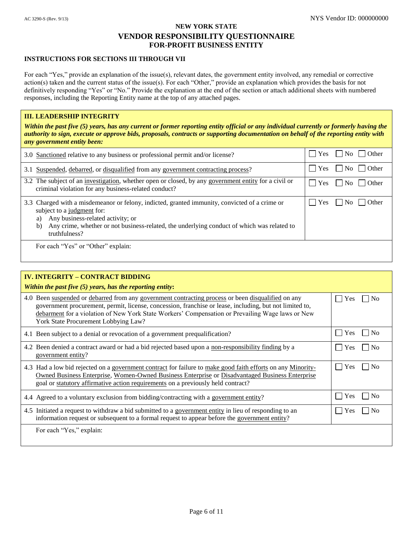#### **INSTRUCTIONS FOR SECTIONS III THROUGH VII**

For each "Yes," provide an explanation of the issue(s), relevant dates, the government entity involved, any remedial or corrective action(s) taken and the current status of the issue(s). For each "Other," provide an explanation which provides the basis for not definitively responding "Yes" or "No." Provide the explanation at the end of the section or attach additional sheets with numbered responses, including the Reporting Entity name at the top of any attached pages.

#### **III. LEADERSHIP INTEGRITY**

*Within the past five (5) years, has any current or former reporting entity official or any individual currently or formerly having the authority to sign, execute or approve bids, proposals, contracts or supporting documentation on behalf of the reporting entity with any government entity been:*

| 3.0 Sanctioned relative to any business or professional permit and/or license?                                                                                                                                                                                                              | Other<br><b>Yes</b><br>  No                                   |
|---------------------------------------------------------------------------------------------------------------------------------------------------------------------------------------------------------------------------------------------------------------------------------------------|---------------------------------------------------------------|
| 3.1 Suspended, debarred, or disqualified from any government contracting process?                                                                                                                                                                                                           | $ $ Yes<br>$\overline{N_0}$   $\overline{O}$ Other            |
| 3.2 The subject of an investigation, whether open or closed, by any government entity for a civil or<br>criminal violation for any business-related conduct?                                                                                                                                | $\blacksquare$ Yes<br>$\overline{N_0}$   $\overline{O}$ Other |
| 3.3 Charged with a misdemeanor or felony, indicted, granted immunity, convicted of a crime or<br>subject to a judgment for:<br>Any business-related activity; or<br>a)<br>Any crime, whether or not business-related, the underlying conduct of which was related to<br>b)<br>truthfulness? | Yes<br>$\overline{N_0}$    <br><b>Other</b>                   |
| For each "Yes" or "Other" explain:                                                                                                                                                                                                                                                          |                                                               |

| <b>IV. INTEGRITY - CONTRACT BIDDING</b><br>Within the past five $(5)$ years, has the reporting entity:                                                                                                                                                                                                                                                    |                              |
|-----------------------------------------------------------------------------------------------------------------------------------------------------------------------------------------------------------------------------------------------------------------------------------------------------------------------------------------------------------|------------------------------|
| 4.0 Been suspended or debarred from any government contracting process or been disqualified on any<br>government procurement, permit, license, concession, franchise or lease, including, but not limited to,<br>debarment for a violation of New York State Workers' Compensation or Prevailing Wage laws or New<br>York State Procurement Lobbying Law? | Yes<br>No                    |
| 4.1 Been subject to a denial or revocation of a government prequalification?                                                                                                                                                                                                                                                                              | Yes                          |
| 4.2 Been denied a contract award or had a bid rejected based upon a non-responsibility finding by a<br>government entity?                                                                                                                                                                                                                                 | No<br>Yes                    |
| 4.3 Had a low bid rejected on a government contract for failure to make good faith efforts on any Minority-<br>Owned Business Enterprise, Women-Owned Business Enterprise or Disadvantaged Business Enterprise<br>goal or statutory affirmative action requirements on a previously held contract?                                                        | No<br>Yes                    |
| 4.4 Agreed to a voluntary exclusion from bidding/contracting with a government entity?                                                                                                                                                                                                                                                                    | <b>Yes</b><br>N <sub>0</sub> |
| 4.5 Initiated a request to withdraw a bid submitted to a government entity in lieu of responding to an<br>information request or subsequent to a formal request to appear before the government entity?                                                                                                                                                   | Yes                          |
| For each "Yes," explain:                                                                                                                                                                                                                                                                                                                                  |                              |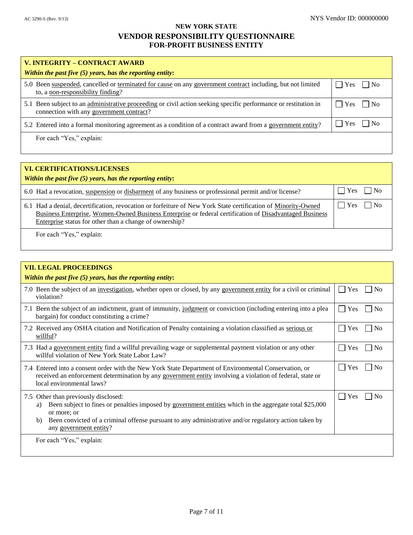| V. INTEGRITY – CONTRACT AWARD                                                                                                                               |                  |
|-------------------------------------------------------------------------------------------------------------------------------------------------------------|------------------|
| Within the past five $(5)$ years, has the reporting entity:                                                                                                 |                  |
| 5.0 Been suspended, cancelled or terminated for cause on any government contract including, but not limited<br>to, a non-responsibility finding?            | $ $   Yes     No |
| 5.1 Been subject to an administrative proceeding or civil action seeking specific performance or restitution in<br>connection with any government contract? | $ $   Yes     No |
| 5.2 Entered into a formal monitoring agreement as a condition of a contract award from a government entity?                                                 | $ $ Yes $ $ No   |
| For each "Yes," explain:                                                                                                                                    |                  |

| <b>VI. CERTIFICATIONS/LICENSES</b><br>Within the past five $(5)$ years, has the reporting entity:                                                                                                                                                                                   |                                         |
|-------------------------------------------------------------------------------------------------------------------------------------------------------------------------------------------------------------------------------------------------------------------------------------|-----------------------------------------|
| 6.0 Had a revocation, suspension or disbarment of any business or professional permit and/or license?                                                                                                                                                                               | $\blacksquare$ Yes<br>$\blacksquare$ No |
| 6.1 Had a denial, decertification, revocation or forfeiture of New York State certification of Minority-Owned<br>Business Enterprise, Women-Owned Business Enterprise or federal certification of Disadvantaged Business<br>Enterprise status for other than a change of ownership? | $ $ $ $ Yes<br>$\overline{\rm N}$       |
| For each "Yes," explain:                                                                                                                                                                                                                                                            |                                         |

| <b>VII. LEGAL PROCEEDINGS</b><br>Within the past five $(5)$ years, has the reporting entity:                                                                                                                                                                                                                  |                                         |
|---------------------------------------------------------------------------------------------------------------------------------------------------------------------------------------------------------------------------------------------------------------------------------------------------------------|-----------------------------------------|
| 7.0 Been the subject of an investigation, whether open or closed, by any government entity for a civil or criminal<br>violation?                                                                                                                                                                              | Yes<br>N <sub>0</sub><br>$\sim$         |
| 7.1 Been the subject of an indictment, grant of immunity, judgment or conviction (including entering into a plea<br>bargain) for conduct constituting a crime?                                                                                                                                                | Yes<br>$\overline{N_{0}}$<br>$\sim$     |
| 7.2 Received any OSHA citation and Notification of Penalty containing a violation classified as serious or<br>willful?                                                                                                                                                                                        | Yes<br>N <sub>0</sub>                   |
| 7.3 Had a government entity find a willful prevailing wage or supplemental payment violation or any other<br>willful violation of New York State Labor Law?                                                                                                                                                   | Yes<br>1 No                             |
| 7.4 Entered into a consent order with the New York State Department of Environmental Conservation, or<br>received an enforcement determination by any government entity involving a violation of federal, state or<br>local environmental laws?                                                               | Yes<br>$\overline{N}$<br>$\mathcal{L}$  |
| 7.5 Other than previously disclosed:<br>Been subject to fines or penalties imposed by government entities which in the aggregate total \$25,000<br>a)<br>or more; or<br>Been convicted of a criminal offense pursuant to any administrative and/or regulatory action taken by<br>b)<br>any government entity? | Yes<br>$\sim$<br>$\mathbf{N}\mathbf{O}$ |
| For each "Yes," explain:                                                                                                                                                                                                                                                                                      |                                         |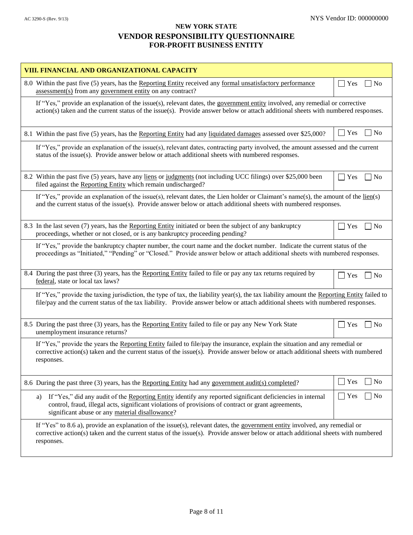| VIII. FINANCIAL AND ORGANIZATIONAL CAPACITY                                                                                                                                                                                                                                     |                                     |
|---------------------------------------------------------------------------------------------------------------------------------------------------------------------------------------------------------------------------------------------------------------------------------|-------------------------------------|
| 8.0 Within the past five (5) years, has the Reporting Entity received any formal unsatisfactory performance<br>assessment(s) from any government entity on any contract?                                                                                                        | $\Box$<br>Yes<br>$\overline{N_{0}}$ |
| If "Yes," provide an explanation of the issue(s), relevant dates, the government entity involved, any remedial or corrective<br>action(s) taken and the current status of the issue(s). Provide answer below or attach additional sheets with numbered responses.               |                                     |
| 8.1 Within the past five (5) years, has the Reporting Entity had any liquidated damages assessed over \$25,000?                                                                                                                                                                 | l No<br>$\Box$<br>Yes               |
| If "Yes," provide an explanation of the issue(s), relevant dates, contracting party involved, the amount assessed and the current<br>status of the issue(s). Provide answer below or attach additional sheets with numbered responses.                                          |                                     |
| 8.2 Within the past five (5) years, have any liens or judgments (not including UCC filings) over \$25,000 been<br>filed against the Reporting Entity which remain undischarged?                                                                                                 | Yes<br>N <sub>0</sub>               |
| If "Yes," provide an explanation of the issue(s), relevant dates, the Lien holder or Claimant's name(s), the amount of the $\underline{\text{lien}}(s)$<br>and the current status of the issue(s). Provide answer below or attach additional sheets with numbered responses.    |                                     |
| 8.3 In the last seven (7) years, has the Reporting Entity initiated or been the subject of any bankruptcy<br>proceedings, whether or not closed, or is any bankruptcy proceeding pending?                                                                                       | Yes<br>$\overline{\phantom{a}}$ No  |
| If "Yes," provide the bankruptcy chapter number, the court name and the docket number. Indicate the current status of the<br>proceedings as "Initiated," "Pending" or "Closed." Provide answer below or attach additional sheets with numbered responses.                       |                                     |
| 8.4 During the past three (3) years, has the Reporting Entity failed to file or pay any tax returns required by<br>federal, state or local tax laws?                                                                                                                            | Yes<br>$ $ No                       |
| If "Yes," provide the taxing jurisdiction, the type of tax, the liability year(s), the tax liability amount the Reporting Entity failed to<br>file/pay and the current status of the tax liability. Provide answer below or attach additional sheets with numbered responses.   |                                     |
| 8.5 During the past three (3) years, has the Reporting Entity failed to file or pay any New York State<br>unemployment insurance returns?                                                                                                                                       | Yes<br>$\overline{N}$               |
| If "Yes," provide the years the Reporting Entity failed to file/pay the insurance, explain the situation and any remedial or<br>corrective action(s) taken and the current status of the issue(s). Provide answer below or attach additional sheets with numbered<br>responses. |                                     |
| 8.6 During the past three (3) years, has the Reporting Entity had any government audit(s) completed?                                                                                                                                                                            | Yes<br>$ $ No<br>$\Box$             |
| If "Yes," did any audit of the Reporting Entity identify any reported significant deficiencies in internal<br>a)<br>control, fraud, illegal acts, significant violations of provisions of contract or grant agreements,<br>significant abuse or any material disallowance?      | $\Box$ Yes<br>$\overline{N}$        |
| If "Yes" to 8.6 a), provide an explanation of the issue(s), relevant dates, the government entity involved, any remedial or<br>corrective action(s) taken and the current status of the issue(s). Provide answer below or attach additional sheets with numbered<br>responses.  |                                     |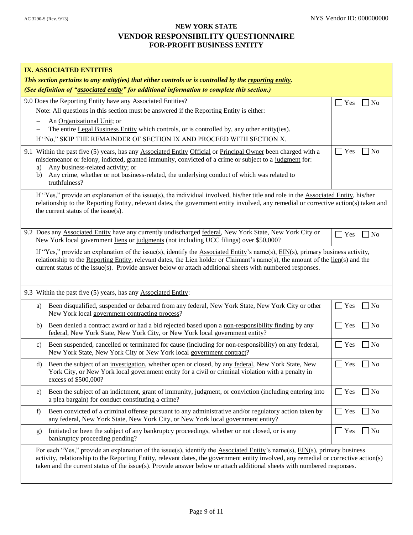| IX. ASSOCIATED ENTITIES<br>This section pertains to any entity(ies) that either controls or is controlled by the reporting entity.<br>(See definition of "associated entity" for additional information to complete this section.)                                                                                                                                                               |                                 |  |  |  |
|--------------------------------------------------------------------------------------------------------------------------------------------------------------------------------------------------------------------------------------------------------------------------------------------------------------------------------------------------------------------------------------------------|---------------------------------|--|--|--|
| 9.0 Does the Reporting Entity have any Associated Entities?<br>Note: All questions in this section must be answered if the Reporting Entity is either:<br>An Organizational Unit; or<br>The entire Legal Business Entity which controls, or is controlled by, any other entity(ies).<br>If "No," SKIP THE REMAINDER OF SECTION IX AND PROCEED WITH SECTION X.                                    | N <sub>0</sub><br>Yes           |  |  |  |
| 9.1 Within the past five (5) years, has any Associated Entity Official or Principal Owner been charged with a<br>misdemeanor or felony, indicted, granted immunity, convicted of a crime or subject to a judgment for:<br>Any business-related activity; or<br>a)<br>Any crime, whether or not business-related, the underlying conduct of which was related to<br>b)<br>truthfulness?           | Yes<br>N <sub>0</sub>           |  |  |  |
| If "Yes," provide an explanation of the issue(s), the individual involved, his/her title and role in the Associated Entity, his/her<br>relationship to the Reporting Entity, relevant dates, the government entity involved, any remedial or corrective action(s) taken and<br>the current status of the issue(s).                                                                               |                                 |  |  |  |
| 9.2 Does any Associated Entity have any currently undischarged federal, New York State, New York City or<br>New York local government liens or judgments (not including UCC filings) over \$50,000?                                                                                                                                                                                              | Yes<br>N <sub>0</sub>           |  |  |  |
| If "Yes," provide an explanation of the issue(s), identify the Associated Entity's name(s), $EIN(s)$ , primary business activity,<br>relationship to the Reporting Entity, relevant dates, the Lien holder or Claimant's name(s), the amount of the lien(s) and the<br>current status of the issue(s). Provide answer below or attach additional sheets with numbered responses.                 |                                 |  |  |  |
| 9.3 Within the past five (5) years, has any Associated Entity:                                                                                                                                                                                                                                                                                                                                   |                                 |  |  |  |
| Been disqualified, suspended or debarred from any federal, New York State, New York City or other<br>a)<br>New York local government contracting process?                                                                                                                                                                                                                                        | $\neg$ No<br>Yes                |  |  |  |
| Been denied a contract award or had a bid rejected based upon a non-responsibility finding by any<br>b)<br>federal, New York State, New York City, or New York local government entity?                                                                                                                                                                                                          | $\blacksquare$ Yes<br>$\Box$ No |  |  |  |
| Been suspended, cancelled or terminated for cause (including for non-responsibility) on any federal,<br>C)<br>New York State, New York City or New York local government contract?                                                                                                                                                                                                               | Yes<br>$\neg$ No                |  |  |  |
| d) Been the subject of an investigation, whether open or closed, by any federal, New York State, New<br>York City, or New York local government entity for a civil or criminal violation with a penalty in<br>excess of \$500,000?                                                                                                                                                               | $\Box$ Yes $\Box$ No            |  |  |  |
| Been the subject of an indictment, grant of immunity, judgment, or conviction (including entering into<br>e)<br>a plea bargain) for conduct constituting a crime?                                                                                                                                                                                                                                | Yes<br>N <sub>0</sub>           |  |  |  |
| Been convicted of a criminal offense pursuant to any administrative and/or regulatory action taken by<br>f)<br>any federal, New York State, New York City, or New York local government entity?                                                                                                                                                                                                  | $\Box$ Yes<br>$\Box$ No         |  |  |  |
| Initiated or been the subject of any bankruptcy proceedings, whether or not closed, or is any<br>g)<br>bankruptcy proceeding pending?                                                                                                                                                                                                                                                            | $\blacksquare$ Yes<br>$\Box$ No |  |  |  |
| For each "Yes," provide an explanation of the issue(s), identify the Associated Entity's name(s), EIN(s), primary business<br>activity, relationship to the Reporting Entity, relevant dates, the government entity involved, any remedial or corrective action(s)<br>taken and the current status of the $issue(s)$ . Provide answer below or attach additional sheets with numbered responses. |                                 |  |  |  |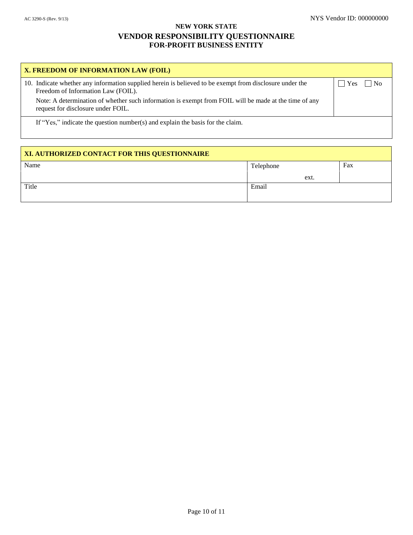| X. FREEDOM OF INFORMATION LAW (FOIL)                                                                                                          |                                           |
|-----------------------------------------------------------------------------------------------------------------------------------------------|-------------------------------------------|
| 10. Indicate whether any information supplied herein is believed to be exempt from disclosure under the<br>Freedom of Information Law (FOIL). | $\overline{N}$<br>$\overline{\text{Yes}}$ |
| Note: A determination of whether such information is exempt from FOIL will be made at the time of any<br>request for disclosure under FOIL.   |                                           |
| If "Yes," indicate the question number(s) and explain the basis for the claim.                                                                |                                           |

| XI. AUTHORIZED CONTACT FOR THIS QUESTIONNAIRE |           |  |     |
|-----------------------------------------------|-----------|--|-----|
| Name                                          | Telephone |  | Fax |
|                                               | ext.      |  |     |
| Title                                         | Email     |  |     |
|                                               |           |  |     |